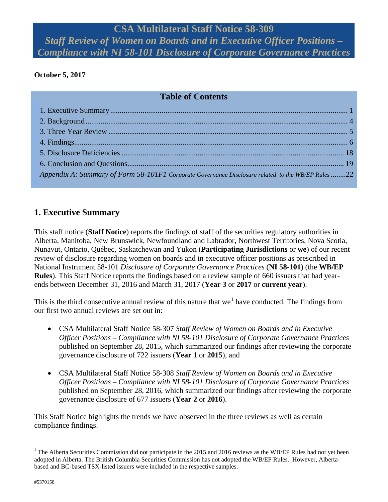# **CSA Multilateral Staff Notice 58-309** *Staff Review of Women on Boards and in Executive Officer Positions – Compliance with NI 58-101 Disclosure of Corporate Governance Practices*

## <span id="page-0-0"></span>**October 5, 2017**

## **Table of Contents**

| Appendix A: Summary of Form 58-101F1 Corporate Governance Disclosure related to the WB/EP Rules 22 |  |
|----------------------------------------------------------------------------------------------------|--|

## **1. Executive Summary**

This staff notice (**Staff Notice**) reports the findings of staff of the securities regulatory authorities in Alberta, Manitoba, New Brunswick, Newfoundland and Labrador, Northwest Territories, Nova Scotia, Nunavut, Ontario, Québec, Saskatchewan and Yukon (**Participating Jurisdictions** or **we**) of our recent review of disclosure regarding women on boards and in executive officer positions as prescribed in National Instrument 58-101 *Disclosure of Corporate Governance Practices* (**NI 58-101**) (the **WB/EP Rules**). This Staff Notice reports the findings based on a review sample of 660 issuers that had yearends between December 31, 2016 and March 31, 2017 (**Year 3** or **2017** or **current year**).

This is the third consecutive annual review of this nature that we<sup>[1](#page-0-1)</sup> have conducted. The findings from our first two annual reviews are set out in:

- CSA Multilateral Staff Notice 58-307 *Staff Review of Women on Boards and in Executive Officer Positions – Compliance with NI 58-101 Disclosure of Corporate Governance Practices* published on September 28, 2015, which summarized our findings after reviewing the corporate governance disclosure of 722 issuers (**Year 1** or **2015**), and
- CSA Multilateral Staff Notice 58-308 *Staff Review of Women on Boards and in Executive Officer Positions – Compliance with NI 58-101 Disclosure of Corporate Governance Practices* published on September 28, 2016, which summarized our findings after reviewing the corporate governance disclosure of 677 issuers (**Year 2** or **2016**).

This Staff Notice highlights the trends we have observed in the three reviews as well as certain compliance findings.

<span id="page-0-1"></span><sup>&</sup>lt;sup>1</sup> The Alberta Securities Commission did not participate in the 2015 and 2016 reviews as the WB/EP Rules had not yet been adopted in Alberta. The British Columbia Securities Commission has not adopted the WB/EP Rules. However, Albertabased and BC-based TSX-listed issuers were included in the respective samples.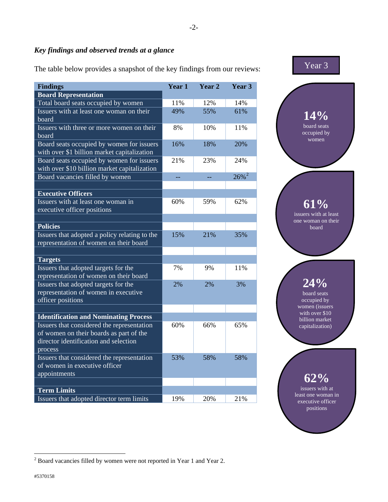## *Key findings and observed trends at a glance*

The table below provides a snapshot of the key findings from our reviews:

| <b>Findings</b>                                                                  | Year 1 | Year 2 | Year 3              |  |
|----------------------------------------------------------------------------------|--------|--------|---------------------|--|
| <b>Board Representation</b>                                                      |        |        |                     |  |
| Total board seats occupied by women                                              | 11%    | 12%    | 14%                 |  |
| Issuers with at least one woman on their                                         | 49%    | 55%    | 61%                 |  |
| board                                                                            |        |        |                     |  |
| Issuers with three or more women on their                                        | 8%     | 10%    | 11%                 |  |
| board                                                                            |        |        |                     |  |
| Board seats occupied by women for issuers                                        | 16%    | 18%    | 20%                 |  |
| with over \$1 billion market capitalization                                      |        |        |                     |  |
| Board seats occupied by women for issuers                                        | 21%    | 23%    | 24%                 |  |
| with over \$10 billion market capitalization                                     |        |        |                     |  |
| Board vacancies filled by women                                                  | --     | --     | $26\%$ <sup>2</sup> |  |
|                                                                                  |        |        |                     |  |
| <b>Executive Officers</b>                                                        |        |        |                     |  |
| Issuers with at least one woman in                                               | 60%    | 59%    | 62%                 |  |
| executive officer positions                                                      |        |        |                     |  |
|                                                                                  |        |        |                     |  |
| <b>Policies</b>                                                                  |        |        |                     |  |
| Issuers that adopted a policy relating to the                                    | 15%    | 21%    | 35%                 |  |
| representation of women on their board                                           |        |        |                     |  |
|                                                                                  |        |        |                     |  |
| <b>Targets</b>                                                                   |        |        |                     |  |
| Issuers that adopted targets for the                                             | 7%     | 9%     | 11%                 |  |
| representation of women on their board                                           |        |        |                     |  |
| Issuers that adopted targets for the                                             | 2%     | 2%     | 3%                  |  |
| representation of women in executive                                             |        |        |                     |  |
| officer positions                                                                |        |        |                     |  |
|                                                                                  |        |        |                     |  |
| <b>Identification and Nominating Process</b>                                     |        |        |                     |  |
| Issuers that considered the representation                                       | 60%    | 66%    | 65%                 |  |
| of women on their boards as part of the<br>director identification and selection |        |        |                     |  |
|                                                                                  |        |        |                     |  |
| process<br>Issuers that considered the representation                            | 53%    | 58%    | 58%                 |  |
| of women in executive officer                                                    |        |        |                     |  |
| appointments                                                                     |        |        |                     |  |
|                                                                                  |        |        |                     |  |
| <b>Term Limits</b>                                                               |        |        |                     |  |
| Issuers that adopted director term limits                                        | 19%    | 20%    | 21%                 |  |
|                                                                                  |        |        |                     |  |



executive officer positions

<span id="page-1-0"></span> $2^{2}$  Board vacancies filled by women were not reported in Year 1 and Year 2.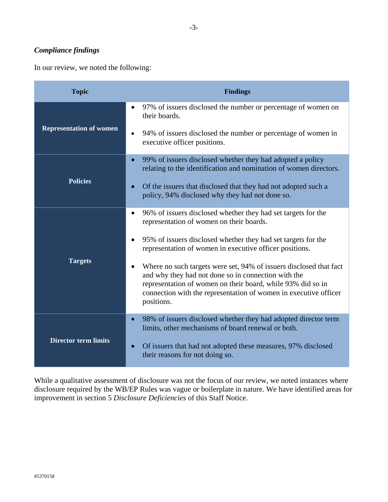## *Compliance findings*

In our review, we noted the following:

| <b>Topic</b>                   | <b>Findings</b>                                                                                                                                                                                                                                                                         |
|--------------------------------|-----------------------------------------------------------------------------------------------------------------------------------------------------------------------------------------------------------------------------------------------------------------------------------------|
|                                | 97% of issuers disclosed the number or percentage of women on<br>their boards.                                                                                                                                                                                                          |
| <b>Representation of women</b> | 94% of issuers disclosed the number or percentage of women in<br>$\bullet$<br>executive officer positions.                                                                                                                                                                              |
|                                | 99% of issuers disclosed whether they had adopted a policy<br>$\bullet$<br>relating to the identification and nomination of women directors.                                                                                                                                            |
| <b>Policies</b>                | Of the issuers that disclosed that they had not adopted such a<br>$\bullet$<br>policy, 94% disclosed why they had not done so.                                                                                                                                                          |
|                                | 96% of issuers disclosed whether they had set targets for the<br>$\bullet$<br>representation of women on their boards.                                                                                                                                                                  |
|                                | 95% of issuers disclosed whether they had set targets for the<br>representation of women in executive officer positions.                                                                                                                                                                |
| <b>Targets</b>                 | Where no such targets were set, 94% of issuers disclosed that fact<br>$\bullet$<br>and why they had not done so in connection with the<br>representation of women on their board, while 93% did so in<br>connection with the representation of women in executive officer<br>positions. |
|                                | 98% of issuers disclosed whether they had adopted director term<br>$\bullet$<br>limits, other mechanisms of board renewal or both.                                                                                                                                                      |
| <b>Director term limits</b>    | Of issuers that had not adopted these measures, 97% disclosed<br>$\bullet$<br>their reasons for not doing so.                                                                                                                                                                           |

While a qualitative assessment of disclosure was not the focus of our review, we noted instances where disclosure required by the WB/EP Rules was vague or boilerplate in nature. We have identified areas for improvement in section 5 *Disclosure Deficiencies* of this Staff Notice.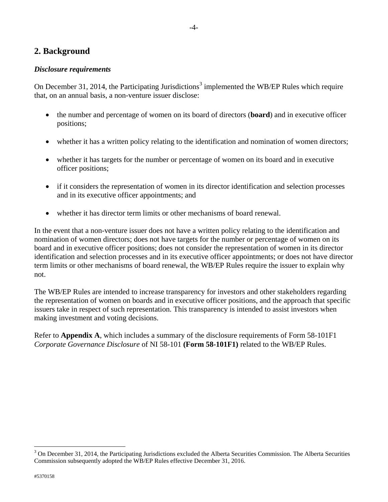## <span id="page-3-0"></span>**2. Background**

#### *Disclosure requirements*

On December [3](#page-3-1)1, 2014, the Participating Jurisdictions<sup>3</sup> implemented the WB/EP Rules which require that, on an annual basis, a non-venture issuer disclose:

-4-

- the number and percentage of women on its board of directors (**board**) and in executive officer positions;
- whether it has a written policy relating to the identification and nomination of women directors;
- whether it has targets for the number or percentage of women on its board and in executive officer positions;
- if it considers the representation of women in its director identification and selection processes and in its executive officer appointments; and
- whether it has director term limits or other mechanisms of board renewal.

In the event that a non-venture issuer does not have a written policy relating to the identification and nomination of women directors; does not have targets for the number or percentage of women on its board and in executive officer positions; does not consider the representation of women in its director identification and selection processes and in its executive officer appointments; or does not have director term limits or other mechanisms of board renewal, the WB/EP Rules require the issuer to explain why not.

The WB/EP Rules are intended to increase transparency for investors and other stakeholders regarding the representation of women on boards and in executive officer positions, and the approach that specific issuers take in respect of such representation. This transparency is intended to assist investors when making investment and voting decisions.

Refer to **Appendix A**, which includes a summary of the disclosure requirements of Form 58-101F1 *Corporate Governance Disclosure* of NI 58-101 **(Form 58-101F1)** related to the WB/EP Rules.

<span id="page-3-1"></span> $3$  On December 31, 2014, the Participating Jurisdictions excluded the Alberta Securities Commission. The Alberta Securities Commission subsequently adopted the WB/EP Rules effective December 31, 2016.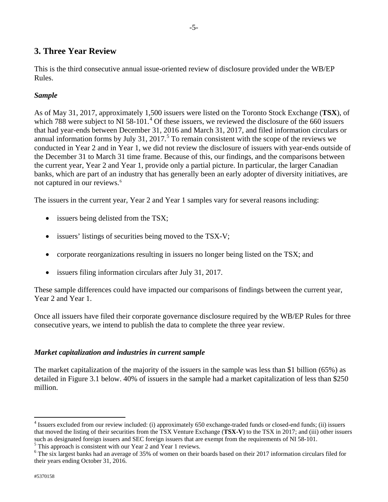## <span id="page-4-0"></span>**3. Three Year Review**

This is the third consecutive annual issue-oriented review of disclosure provided under the WB/EP Rules.

#### *Sample*

As of May 31, 2017, approximately 1,500 issuers were listed on the Toronto Stock Exchange (**TSX**), of which 788 were subject to NI 58-101.<sup>[4](#page-4-1)</sup> Of these issuers, we reviewed the disclosure of the 660 issuers that had year-ends between December 31, 2016 and March 31, 2017, and filed information circulars or annual information forms by July 31, 2017.<sup>[5](#page-4-2)</sup> To remain consistent with the scope of the reviews we conducted in Year 2 and in Year 1, we did not review the disclosure of issuers with year-ends outside of the December 31 to March 31 time frame. Because of this, our findings, and the comparisons between the current year, Year 2 and Year 1, provide only a partial picture. In particular, the larger Canadian banks, which are part of an industry that has generally been an early adopter of diversity initiatives, are not captured in our reviews.<sup>[6](#page-4-3)</sup>

The issuers in the current year, Year 2 and Year 1 samples vary for several reasons including:

- issuers being delisted from the TSX;
- issuers' listings of securities being moved to the TSX-V;
- corporate reorganizations resulting in issuers no longer being listed on the TSX; and
- issuers filing information circulars after July 31, 2017.

These sample differences could have impacted our comparisons of findings between the current year, Year 2 and Year 1.

Once all issuers have filed their corporate governance disclosure required by the WB/EP Rules for three consecutive years, we intend to publish the data to complete the three year review.

### *Market capitalization and industries in current sample*

The market capitalization of the majority of the issuers in the sample was less than \$1 billion (65%) as detailed in Figure 3.1 below. 40% of issuers in the sample had a market capitalization of less than \$250 million.

<span id="page-4-1"></span><sup>4</sup> Issuers excluded from our review included: (i) approximately 650 exchange-traded funds or closed-end funds; (ii) issuers that moved the listing of their securities from the TSX Venture Exchange (**TSX-V**) to the TSX in 2017; and (iii) other issuers such as designated foreign issuers and SEC foreign issuers that are exempt from the requirement

<span id="page-4-3"></span><span id="page-4-2"></span> $\frac{5}{1}$  This approach is consistent with our Year 2 and Year 1 reviews.<br><sup>6</sup> The six largest banks had an average of 35% of women on their boards based on their 2017 information circulars filed for their years ending October 31, 2016.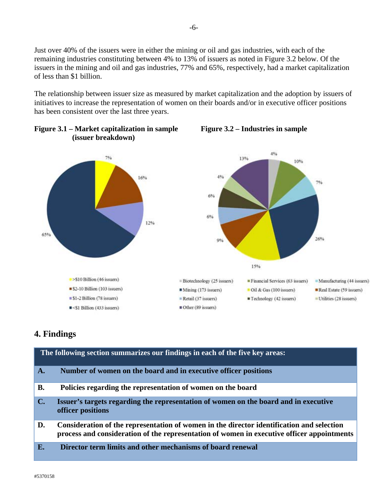Just over 40% of the issuers were in either the mining or oil and gas industries, with each of the remaining industries constituting between 4% to 13% of issuers as noted in Figure 3.2 below. Of the issuers in the mining and oil and gas industries, 77% and 65%, respectively, had a market capitalization of less than \$1 billion.

The relationship between issuer size as measured by market capitalization and the adoption by issuers of initiatives to increase the representation of women on their boards and/or in executive officer positions has been consistent over the last three years.





# <span id="page-5-0"></span>**4. Findings**

|                | The following section summarizes our findings in each of the five key areas:                                                                                                            |
|----------------|-----------------------------------------------------------------------------------------------------------------------------------------------------------------------------------------|
| $\mathbf{A}$ . | Number of women on the board and in executive officer positions                                                                                                                         |
| <b>B.</b>      | Policies regarding the representation of women on the board                                                                                                                             |
| $\mathbf{C}$ . | Issuer's targets regarding the representation of women on the board and in executive<br>officer positions                                                                               |
| D.             | Consideration of the representation of women in the director identification and selection<br>process and consideration of the representation of women in executive officer appointments |
| E.             | Director term limits and other mechanisms of board renewal                                                                                                                              |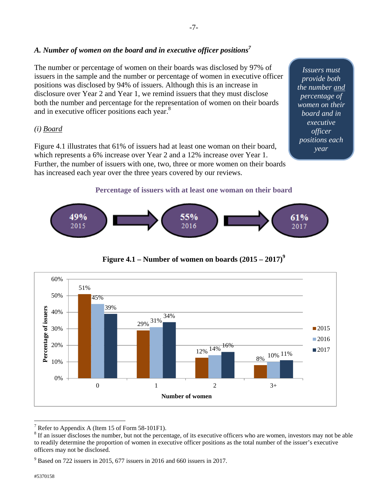## A. Number of women on the board and in executive officer positions<sup>7</sup>

The number or percentage of women on their boards was disclosed by 97% of issuers in the sample and the number or percentage of women in executive officer positions was disclosed by 94% of issuers. Although this is an increase in disclosure over Year 2 and Year 1, we remind issuers that they must disclose both the number and percentage for the representation of women on their boards and in executive officer positions each year.<sup>8</sup>

#### *(i) Board*

Figure 4.1 illustrates that 61% of issuers had at least one woman on their board, which represents a 6% increase over Year 2 and a 12% increase over Year 1. Further, the number of issuers with one, two, three or more women on their boards has increased each year over the three years covered by our reviews.

*Issuers must provide both the number and percentage of women on their board and in executive officer positions each year* 

#### **Percentage of issuers with at least one woman on their board**







<sup>-</sup>7 Refer to Appendix A (Item 15 of Form 58-101F1).

<sup>&</sup>lt;sup>8</sup> If an issuer discloses the number, but not the percentage, of its executive officers who are women, investors may not be able to readily determine the proportion of women in executive officer positions as the total number of the issuer's executive officers may not be disclosed.

<sup>9</sup> Based on 722 issuers in 2015, 677 issuers in 2016 and 660 issuers in 2017.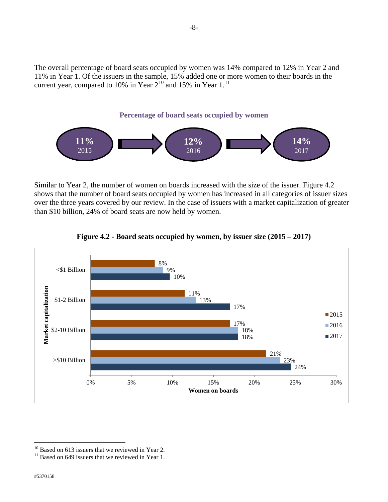The overall percentage of board seats occupied by women was 14% compared to 12% in Year 2 and 11% in Year 1. Of the issuers in the sample, 15% added one or more women to their boards in the current year, compared to [10](#page-7-0)% in Year  $2^{10}$  and 15% in Year 1.<sup>[11](#page-7-1)</sup>



Similar to Year 2, the number of women on boards increased with the size of the issuer. Figure 4.2 shows that the number of board seats occupied by women has increased in all categories of issuer sizes over the three years covered by our review. In the case of issuers with a market capitalization of greater than \$10 billion, 24% of board seats are now held by women.



#### **Figure 4.2 - Board seats occupied by women, by issuer size (2015 – 2017)**

<span id="page-7-0"></span> $10$  Based on 613 issuers that we reviewed in Year 2.

<span id="page-7-1"></span> $11$  Based on 649 issuers that we reviewed in Year 1.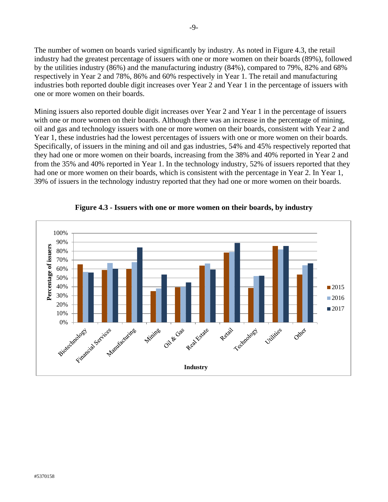The number of women on boards varied significantly by industry. As noted in Figure 4.3, the retail industry had the greatest percentage of issuers with one or more women on their boards (89%), followed by the utilities industry (86%) and the manufacturing industry (84%), compared to 79%, 82% and 68% respectively in Year 2 and 78%, 86% and 60% respectively in Year 1. The retail and manufacturing industries both reported double digit increases over Year 2 and Year 1 in the percentage of issuers with one or more women on their boards.

Mining issuers also reported double digit increases over Year 2 and Year 1 in the percentage of issuers with one or more women on their boards. Although there was an increase in the percentage of mining, oil and gas and technology issuers with one or more women on their boards, consistent with Year 2 and Year 1, these industries had the lowest percentages of issuers with one or more women on their boards. Specifically, of issuers in the mining and oil and gas industries, 54% and 45% respectively reported that they had one or more women on their boards, increasing from the 38% and 40% reported in Year 2 and from the 35% and 40% reported in Year 1. In the technology industry, 52% of issuers reported that they had one or more women on their boards, which is consistent with the percentage in Year 2. In Year 1, 39% of issuers in the technology industry reported that they had one or more women on their boards.



**Figure 4.3 - Issuers with one or more women on their boards, by industry**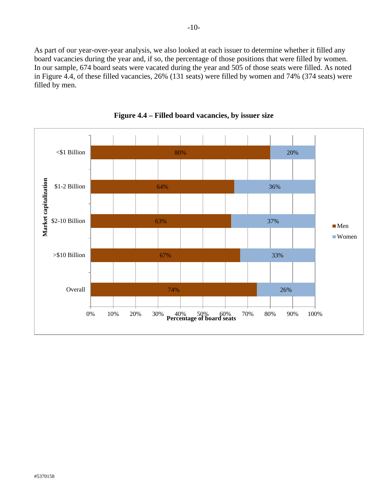As part of our year-over-year analysis, we also looked at each issuer to determine whether it filled any board vacancies during the year and, if so, the percentage of those positions that were filled by women. In our sample, 674 board seats were vacated during the year and 505 of those seats were filled. As noted in Figure 4.4, of these filled vacancies, 26% (131 seats) were filled by women and 74% (374 seats) were filled by men.



**Figure 4.4 – Filled board vacancies, by issuer size**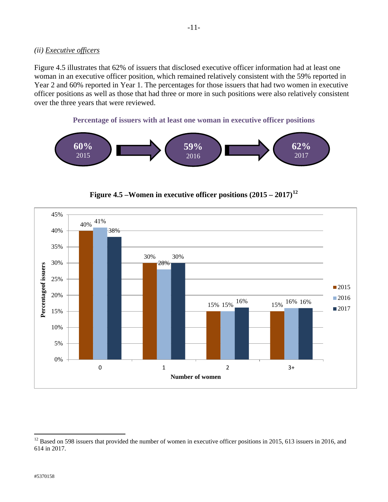#### *(ii) Executive officers*

Figure 4.5 illustrates that 62% of issuers that disclosed executive officer information had at least one woman in an executive officer position, which remained relatively consistent with the 59% reported in Year 2 and 60% reported in Year 1. The percentages for those issuers that had two women in executive officer positions as well as those that had three or more in such positions were also relatively consistent over the three years that were reviewed.

**Percentage of issuers with at least one woman in executive officer positions**





**Figure 4.5 –Women in executive officer positions (2015 – 2017) [12](#page-10-0)**

<span id="page-10-0"></span> $12$  Based on 598 issuers that provided the number of women in executive officer positions in 2015, 613 issuers in 2016, and 614 in 2017.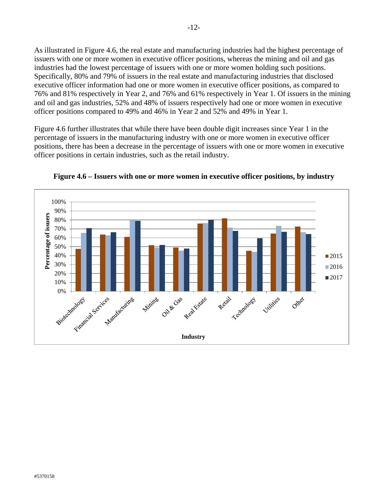As illustrated in Figure 4.6, the real estate and manufacturing industries had the highest percentage of issuers with one or more women in executive officer positions, whereas the mining and oil and gas industries had the lowest percentage of issuers with one or more women holding such positions. Specifically, 80% and 79% of issuers in the real estate and manufacturing industries that disclosed executive officer information had one or more women in executive officer positions, as compared to 76% and 81% respectively in Year 2, and 76% and 61% respectively in Year 1. Of issuers in the mining and oil and gas industries, 52% and 48% of issuers respectively had one or more women in executive officer positions compared to 49% and 46% in Year 2 and 52% and 49% in Year 1.

Figure 4.6 further illustrates that while there have been double digit increases since Year 1 in the percentage of issuers in the manufacturing industry with one or more women in executive officer positions, there has been a decrease in the percentage of issuers with one or more women in executive officer positions in certain industries, such as the retail industry.



**Figure 4.6 – Issuers with one or more women in executive officer positions, by industry**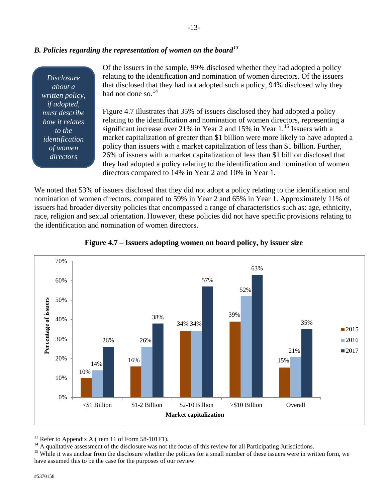## *B. Policies regarding the representation of women on the board[13](#page-12-0)*

*Disclosure about a written policy, if adopted, must describe how it relates to the identification of women directors* 

Of the issuers in the sample, 99% disclosed whether they had adopted a policy relating to the identification and nomination of women directors. Of the issuers that disclosed that they had not adopted such a policy, 94% disclosed why they had not done so.<sup>[14](#page-12-1)</sup>

Figure 4.7 illustrates that 35% of issuers disclosed they had adopted a policy relating to the identification and nomination of women directors, representing a significant increase over 21% in Year 2 and [15](#page-12-2)% in Year  $1<sup>15</sup>$  Issuers with a market capitalization of greater than \$1 billion were more likely to have adopted a policy than issuers with a market capitalization of less than \$1 billion. Further, 26% of issuers with a market capitalization of less than \$1 billion disclosed that they had adopted a policy relating to the identification and nomination of women directors compared to 14% in Year 2 and 10% in Year 1.

We noted that 53% of issuers disclosed that they did not adopt a policy relating to the identification and nomination of women directors, compared to 59% in Year 2 and 65% in Year 1. Approximately 11% of issuers had broader diversity policies that encompassed a range of characteristics such as: age, ethnicity, race, religion and sexual orientation. However, these policies did not have specific provisions relating to the identification and nomination of women directors.





<span id="page-12-1"></span><span id="page-12-0"></span><sup>&</sup>lt;sup>13</sup> Refer to Appendix A (Item 11 of Form 58-101F1).<br><sup>14</sup> A qualitative assessment of the disclosure was not the focus of this review for all Participating Jurisdictions.<br><sup>15</sup> While it was unclear from the disclosure whet

<span id="page-12-2"></span>have assumed this to be the case for the purposes of our review.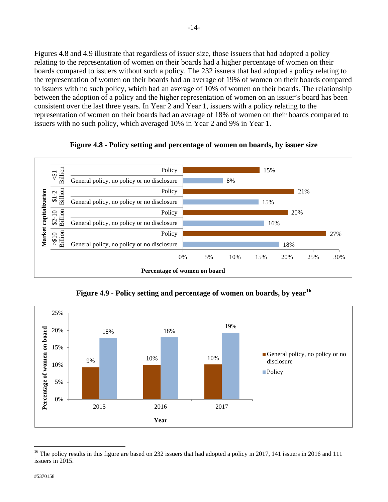Figures 4.8 and 4.9 illustrate that regardless of issuer size, those issuers that had adopted a policy relating to the representation of women on their boards had a higher percentage of women on their boards compared to issuers without such a policy. The 232 issuers that had adopted a policy relating to the representation of women on their boards had an average of 19% of women on their boards compared to issuers with no such policy, which had an average of 10% of women on their boards. The relationship between the adoption of a policy and the higher representation of women on an issuer's board has been consistent over the last three years. In Year 2 and Year 1, issuers with a policy relating to the representation of women on their boards had an average of 18% of women on their boards compared to issuers with no such policy, which averaged 10% in Year 2 and 9% in Year 1.



**Figure 4.8 - Policy setting and percentage of women on boards, by issuer size**

**Figure 4.9 - Policy setting and percentage of women on boards, by year[16](#page-13-0)**



<span id="page-13-0"></span><sup>&</sup>lt;sup>16</sup> The policy results in this figure are based on 232 issuers that had adopted a policy in 2017, 141 issuers in 2016 and 111 issuers in 2015.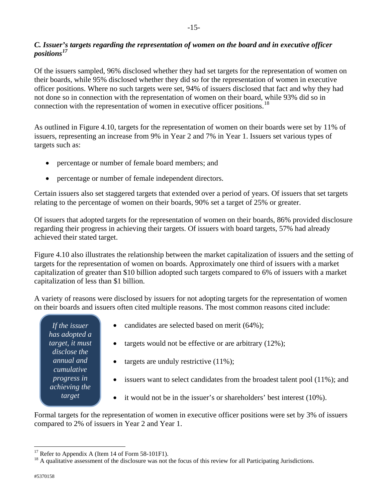### *C. Issuer's targets regarding the representation of women on the board and in executive officer positions[17](#page-14-0)*

Of the issuers sampled, 96% disclosed whether they had set targets for the representation of women on their boards, while 95% disclosed whether they did so for the representation of women in executive officer positions. Where no such targets were set, 94% of issuers disclosed that fact and why they had not done so in connection with the representation of women on their board, while 93% did so in connection with the representation of women in executive officer positions.<sup>[18](#page-14-1)</sup>

As outlined in Figure 4.10, targets for the representation of women on their boards were set by 11% of issuers, representing an increase from 9% in Year 2 and 7% in Year 1. Issuers set various types of targets such as:

- percentage or number of female board members; and
- percentage or number of female independent directors.

Certain issuers also set staggered targets that extended over a period of years. Of issuers that set targets relating to the percentage of women on their boards, 90% set a target of 25% or greater.

Of issuers that adopted targets for the representation of women on their boards, 86% provided disclosure regarding their progress in achieving their targets. Of issuers with board targets, 57% had already achieved their stated target.

Figure 4.10 also illustrates the relationship between the market capitalization of issuers and the setting of targets for the representation of women on boards. Approximately one third of issuers with a market capitalization of greater than \$10 billion adopted such targets compared to 6% of issuers with a market capitalization of less than \$1 billion.

A variety of reasons were disclosed by issuers for not adopting targets for the representation of women on their boards and issuers often cited multiple reasons. The most common reasons cited include:

*If the issuer has adopted a target, it must disclose the annual and cumulative progress in achieving the target*

- candidates are selected based on merit (64%);
- targets would not be effective or are arbitrary  $(12\%)$ ;
- targets are unduly restrictive  $(11\%)$ ;
- issuers want to select candidates from the broadest talent pool (11%); and
- it would not be in the issuer's or shareholders' best interest (10%).

Formal targets for the representation of women in executive officer positions were set by 3% of issuers compared to 2% of issuers in Year 2 and Year 1.

 $\overline{a}$ 

<span id="page-14-1"></span><span id="page-14-0"></span><sup>&</sup>lt;sup>17</sup> Refer to Appendix A (Item 14 of Form 58-101F1).<br><sup>18</sup> A qualitative assessment of the disclosure was not the focus of this review for all Participating Jurisdictions.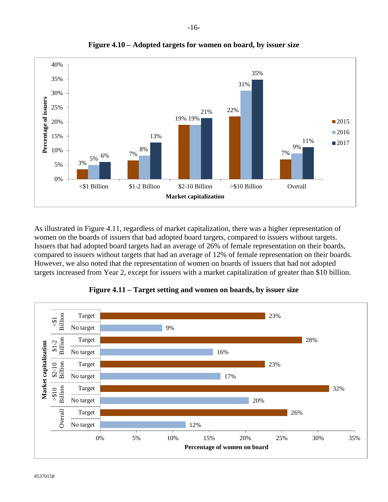



As illustrated in Figure 4.11, regardless of market capitalization, there was a higher representation of women on the boards of issuers that had adopted board targets, compared to issuers without targets. Issuers that had adopted board targets had an average of 26% of female representation on their boards, compared to issuers without targets that had an average of 12% of female representation on their boards. However, we also noted that the representation of women on boards of issuers that had not adopted targets increased from Year 2, except for issuers with a market capitalization of greater than \$10 billion.



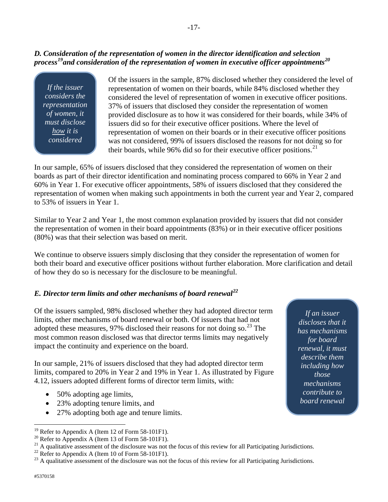### *D. Consideration of the representation of women in the director identification and selection process[19](#page-16-0)and consideration of the representation of women in executive officer appointments[20](#page-16-1)*

*If the issuer considers the representation of women, it must disclose how it is considered*

Of the issuers in the sample, 87% disclosed whether they considered the level of representation of women on their boards, while 84% disclosed whether they considered the level of representation of women in executive officer positions. 37% of issuers that disclosed they consider the representation of women provided disclosure as to how it was considered for their boards, while 34% of issuers did so for their executive officer positions. Where the level of representation of women on their boards or in their executive officer positions was not considered, 99% of issuers disclosed the reasons for not doing so for their boards, while 96% did so for their executive officer positions.<sup>[21](#page-16-2)</sup>

In our sample, 65% of issuers disclosed that they considered the representation of women on their boards as part of their director identification and nominating process compared to 66% in Year 2 and 60% in Year 1. For executive officer appointments, 58% of issuers disclosed that they considered the representation of women when making such appointments in both the current year and Year 2, compared to 53% of issuers in Year 1.

Similar to Year 2 and Year 1, the most common explanation provided by issuers that did not consider the representation of women in their board appointments (83%) or in their executive officer positions (80%) was that their selection was based on merit.

We continue to observe issuers simply disclosing that they consider the representation of women for both their board and executive officer positions without further elaboration. More clarification and detail of how they do so is necessary for the disclosure to be meaningful.

## *E. Director term limits and other mechanisms of board renewal[22](#page-16-3)*

Of the issuers sampled, 98% disclosed whether they had adopted director term limits, other mechanisms of board renewal or both. Of issuers that had not adopted these measures, 97% disclosed their reasons for not doing so.<sup>[23](#page-16-4)</sup> The most common reason disclosed was that director terms limits may negatively impact the continuity and experience on the board.

In our sample, 21% of issuers disclosed that they had adopted director term limits, compared to 20% in Year 2 and 19% in Year 1. As illustrated by Figure 4.12, issuers adopted different forms of director term limits, with:

- 50% adopting age limits,
- 23% adopting tenure limits, and
- 27% adopting both age and tenure limits.

*If an issuer discloses that it has mechanisms for board renewal, it must describe them including how those mechanisms contribute to board renewal*

<sup>&</sup>lt;sup>19</sup> Refer to Appendix A (Item 12 of Form 58-101F1).

<span id="page-16-2"></span><span id="page-16-1"></span><span id="page-16-0"></span><sup>&</sup>lt;sup>20</sup> Refer to Appendix A (Item 13 of Form 58-101F1).<br><sup>21</sup> A qualitative assessment of the disclosure was not the focus of this review for all Participating Jurisdictions.<br><sup>22</sup> Refer to Appendix A (Item 10 of Form 58-101F1

<span id="page-16-3"></span>

<span id="page-16-4"></span>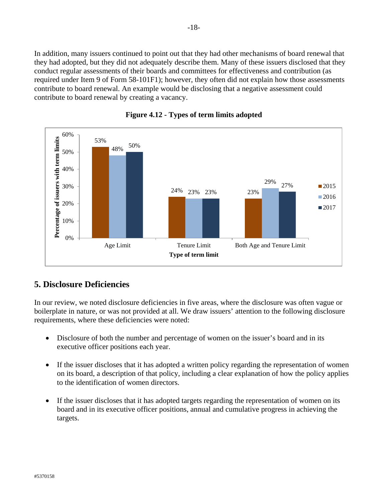In addition, many issuers continued to point out that they had other mechanisms of board renewal that they had adopted, but they did not adequately describe them. Many of these issuers disclosed that they conduct regular assessments of their boards and committees for effectiveness and contribution (as required under Item 9 of Form 58-101F1); however, they often did not explain how those assessments contribute to board renewal. An example would be disclosing that a negative assessment could contribute to board renewal by creating a vacancy.





## <span id="page-17-0"></span>**5. Disclosure Deficiencies**

In our review, we noted disclosure deficiencies in five areas, where the disclosure was often vague or boilerplate in nature, or was not provided at all. We draw issuers' attention to the following disclosure requirements, where these deficiencies were noted:

- Disclosure of both the number and percentage of women on the issuer's board and in its executive officer positions each year.
- If the issuer discloses that it has adopted a written policy regarding the representation of women on its board, a description of that policy, including a clear explanation of how the policy applies to the identification of women directors.
- If the issuer discloses that it has adopted targets regarding the representation of women on its board and in its executive officer positions, annual and cumulative progress in achieving the targets.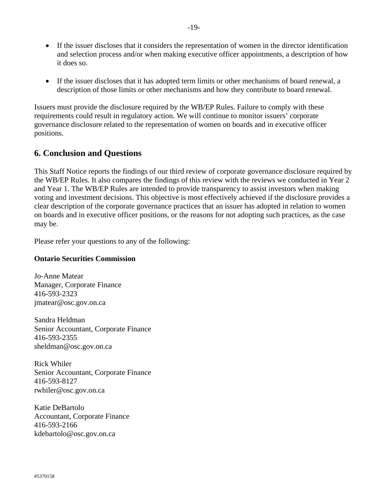- If the issuer discloses that it considers the representation of women in the director identification and selection process and/or when making executive officer appointments, a description of how it does so.
- If the issuer discloses that it has adopted term limits or other mechanisms of board renewal, a description of those limits or other mechanisms and how they contribute to board renewal.

Issuers must provide the disclosure required by the WB/EP Rules. Failure to comply with these requirements could result in regulatory action. We will continue to monitor issuers' corporate governance disclosure related to the representation of women on boards and in executive officer positions.

## <span id="page-18-0"></span>**6. Conclusion and Questions**

This Staff Notice reports the findings of our third review of corporate governance disclosure required by the WB/EP Rules. It also compares the findings of this review with the reviews we conducted in Year 2 and Year 1. The WB/EP Rules are intended to provide transparency to assist investors when making voting and investment decisions. This objective is most effectively achieved if the disclosure provides a clear description of the corporate governance practices that an issuer has adopted in relation to women on boards and in executive officer positions, or the reasons for not adopting such practices, as the case may be.

Please refer your questions to any of the following:

#### **Ontario Securities Commission**

Jo-Anne Matear Manager, Corporate Finance 416-593‐2323 jmatear@osc.gov.on.ca

Sandra Heldman Senior Accountant, Corporate Finance 416-593-2355 sheldman@osc.gov.on.ca

Rick Whiler Senior Accountant, Corporate Finance 416-593-8127 rwhiler@osc.gov.on.ca

Katie DeBartolo Accountant, Corporate Finance 416-593-2166 kdebartolo@osc.gov.on.ca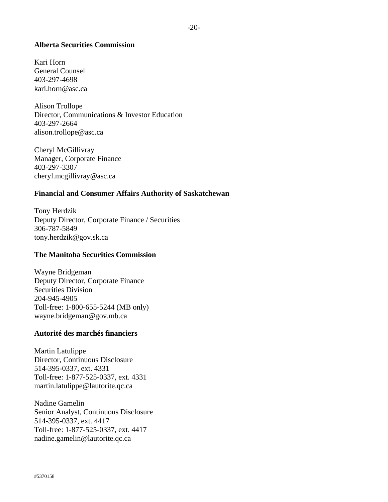#### **Alberta Securities Commission**

Kari Horn General Counsel 403-297-4698 kari.horn@asc.ca

Alison Trollope Director, Communications & Investor Education 403-297-2664 alison.trollope@asc.ca

Cheryl McGillivray Manager, Corporate Finance 403-297-3307 cheryl.mcgillivray@asc.ca

#### **Financial and Consumer Affairs Authority of Saskatchewan**

Tony Herdzik Deputy Director, Corporate Finance / Securities 306-787-5849 tony.herdzik@gov.sk.ca

#### **The Manitoba Securities Commission**

Wayne Bridgeman Deputy Director, Corporate Finance Securities Division 204-945-4905 Toll-free: 1-800-655-5244 (MB only) wayne.bridgeman@gov.mb.ca

#### **Autorité des marchés financiers**

Martin Latulippe Director, Continuous Disclosure 514-395-0337, ext. 4331 Toll-free: 1-877-525-0337, ext. 4331 martin.latulippe@lautorite.qc.ca

Nadine Gamelin Senior Analyst, Continuous Disclosure 514-395-0337, ext. 4417 Toll-free: 1-877-525-0337, ext. 4417 nadine.gamelin@lautorite.qc.ca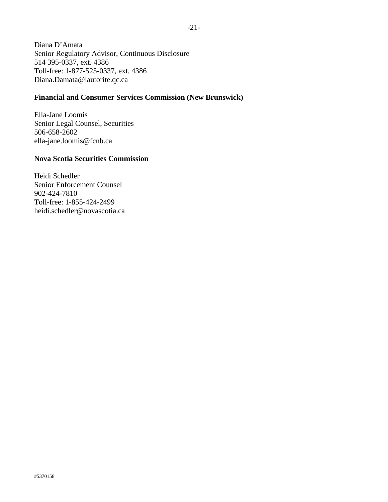Diana D'Amata Senior Regulatory Advisor, Continuous Disclosure 514 395-0337, ext. 4386 Toll-free: 1-877-525-0337, ext. 4386 Diana.Damata@lautorite.qc.ca

### **Financial and Consumer Services Commission (New Brunswick)**

Ella-Jane Loomis Senior Legal Counsel, Securities 506-658-2602 ella-jane.loomis@fcnb.ca

#### **Nova Scotia Securities Commission**

Heidi Schedler Senior Enforcement Counsel 902-424-7810 Toll-free: 1-855-424-2499 heidi.schedler@novascotia.ca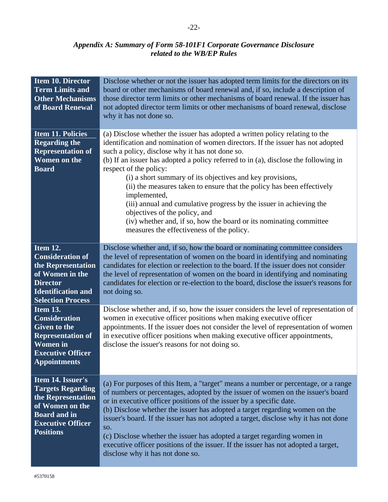-22-

#### *Appendix A: Summary of Form 58-101F1 Corporate Governance Disclosure related to the WB/EP Rules*

<span id="page-21-0"></span>

| <b>Item 10. Director</b><br><b>Term Limits and</b><br><b>Other Mechanisms</b><br>of Board Renewal                                                                | Disclose whether or not the issuer has adopted term limits for the directors on its<br>board or other mechanisms of board renewal and, if so, include a description of<br>those director term limits or other mechanisms of board renewal. If the issuer has<br>not adopted director term limits or other mechanisms of board renewal, disclose<br>why it has not done so.                                                                                                                                                                                                                                                                                                                                            |
|------------------------------------------------------------------------------------------------------------------------------------------------------------------|-----------------------------------------------------------------------------------------------------------------------------------------------------------------------------------------------------------------------------------------------------------------------------------------------------------------------------------------------------------------------------------------------------------------------------------------------------------------------------------------------------------------------------------------------------------------------------------------------------------------------------------------------------------------------------------------------------------------------|
| <b>Item 11. Policies</b><br><b>Regarding the</b><br><b>Representation of</b><br><b>Women on the</b><br><b>Board</b>                                              | (a) Disclose whether the issuer has adopted a written policy relating to the<br>identification and nomination of women directors. If the issuer has not adopted<br>such a policy, disclose why it has not done so.<br>(b) If an issuer has adopted a policy referred to in (a), disclose the following in<br>respect of the policy:<br>(i) a short summary of its objectives and key provisions,<br>(ii) the measures taken to ensure that the policy has been effectively<br>implemented,<br>(iii) annual and cumulative progress by the issuer in achieving the<br>objectives of the policy, and<br>(iv) whether and, if so, how the board or its nominating committee<br>measures the effectiveness of the policy. |
| Item 12.<br><b>Consideration of</b><br>the Representation<br>of Women in the<br><b>Director</b><br><b>Identification and</b><br><b>Selection Process</b>         | Disclose whether and, if so, how the board or nominating committee considers<br>the level of representation of women on the board in identifying and nominating<br>candidates for election or reelection to the board. If the issuer does not consider<br>the level of representation of women on the board in identifying and nominating<br>candidates for election or re-election to the board, disclose the issuer's reasons for<br>not doing so.                                                                                                                                                                                                                                                                  |
| <b>Item 13.</b><br><b>Consideration</b><br><b>Given to the</b><br><b>Representation of</b><br><b>Women</b> in<br><b>Executive Officer</b><br><b>Appointments</b> | Disclose whether and, if so, how the issuer considers the level of representation of<br>women in executive officer positions when making executive officer<br>appointments. If the issuer does not consider the level of representation of women<br>in executive officer positions when making executive officer appointments,<br>disclose the issuer's reasons for not doing so.                                                                                                                                                                                                                                                                                                                                     |
| Item 14. Issuer's<br><b>Targets Regarding</b><br>the Representation<br>of Women on the<br><b>Board and in</b><br><b>Executive Officer</b><br><b>Positions</b>    | (a) For purposes of this Item, a "target" means a number or percentage, or a range<br>of numbers or percentages, adopted by the issuer of women on the issuer's board<br>or in executive officer positions of the issuer by a specific date.<br>(b) Disclose whether the issuer has adopted a target regarding women on the<br>issuer's board. If the issuer has not adopted a target, disclose why it has not done<br>SO.<br>(c) Disclose whether the issuer has adopted a target regarding women in<br>executive officer positions of the issuer. If the issuer has not adopted a target,<br>disclose why it has not done so.                                                                                       |